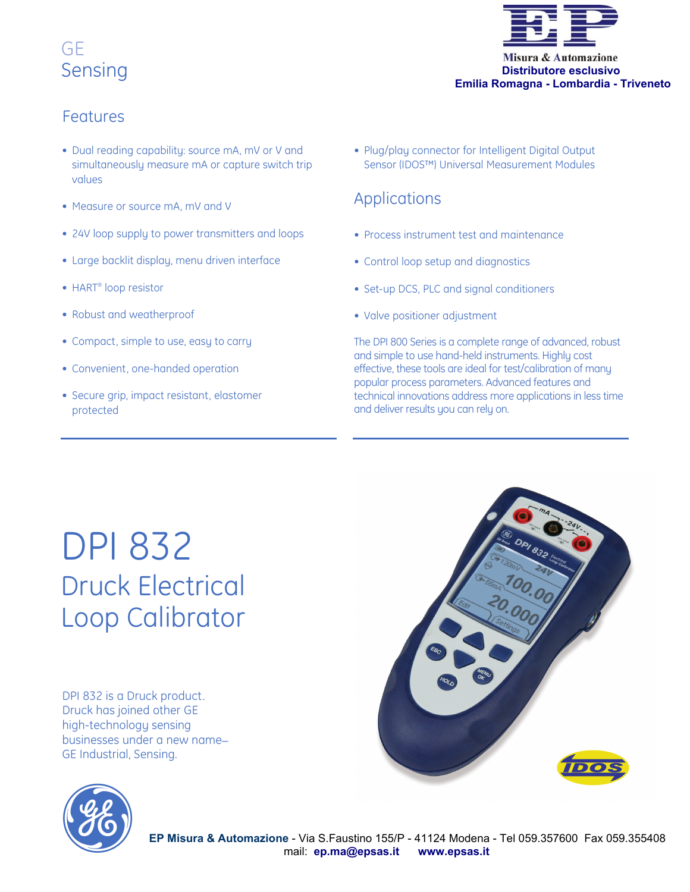## GE Sensing



## Features

- Dual reading capability: source mA, mV or V and simultaneously measure mA or capture switch trip values
- Measure or source mA, mV and V
- 24V loop supply to power transmitters and loops
- Large backlit display, menu driven interface
- HART® loop resistor
- Robust and weatherproof
- Compact, simple to use, easy to carry
- Convenient, one-handed operation
- Secure grip, impact resistant, elastomer protected

• Plug/play connector for Intelligent Digital Output Sensor (IDOS™) Universal Measurement Modules

### Applications

- Process instrument test and maintenance
- Control loop setup and diagnostics
- Set-up DCS, PLC and signal conditioners
- Valve positioner adjustment

The DPI 800 Series is a complete range of advanced, robust and simple to use hand-held instruments. Highly cost effective, these tools are ideal for test/calibration of many popular process parameters. Advanced features and technical innovations address more applications in less time and deliver results you can rely on.

## DPI 832 Druck Electrical Loop Calibrator

DPI 832 is a Druck product. Druck has joined other GE high-technology sensing businesses under a new name\_ GE Industrial, Sensing.



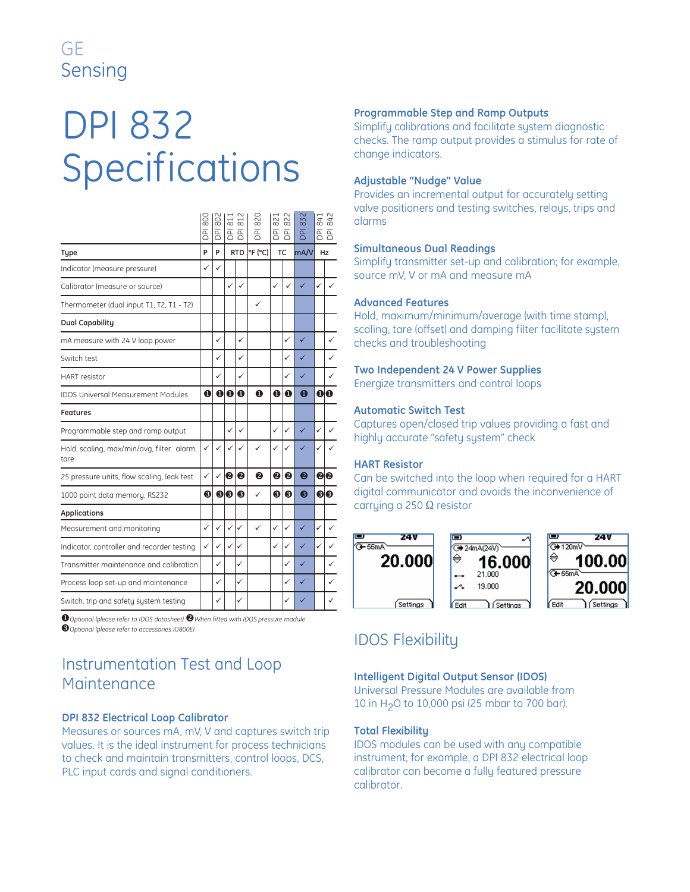## GE Sensing

# DPI 832 Specifications

|                                                    | $\frac{80}{3}$<br><b>PO</b> | $\ddot{\mathrm{80}}$<br>$\overline{P}$ | $\overline{8}$ | $\overline{5}$<br>$\overline{B}$ $\overline{B}$ | 820<br>$\overline{P}$ | $\approx$<br>$\overline{B}$ $\overline{B}$ | $\approx$    | 832<br>$\overline{P}$ | $\ddot{a}$ | 842<br>좀 좀 |  |
|----------------------------------------------------|-----------------------------|----------------------------------------|----------------|-------------------------------------------------|-----------------------|--------------------------------------------|--------------|-----------------------|------------|------------|--|
| <b>Type</b>                                        | P                           | P                                      |                | P(F C) <br><b>RTD</b>                           |                       | <b>TC</b>                                  |              | mA/V                  |            | Hz         |  |
| Indicator (measure pressure)                       | ✓                           | ✓                                      |                |                                                 |                       |                                            |              |                       |            |            |  |
| Calibrator (measure or source)                     |                             |                                        | $\checkmark$   | ✓                                               |                       | ✓                                          | $\checkmark$ | ✓                     | ✓          |            |  |
| Thermometer (dual input T1, T2, T1 - T2)           |                             |                                        |                |                                                 | ✓                     |                                            |              |                       |            |            |  |
| <b>Dual Capability</b>                             |                             |                                        |                |                                                 |                       |                                            |              |                       |            |            |  |
| mA measure with 24 V loop power                    |                             | ✓                                      |                | ✓                                               |                       |                                            | ✓            | ✓                     |            | ✓          |  |
| Switch test                                        |                             | ✓                                      |                | ✓                                               |                       |                                            | $\checkmark$ | ✓                     |            | ✓          |  |
| <b>HART</b> resistor                               |                             | ✓                                      |                | ✓                                               |                       |                                            | $\checkmark$ | ✓                     |            | ✓          |  |
| <b>IDOS Universal Measurement Modules</b>          | $\mathbf 0$                 | $\mathbf 0$                            | $\bf{o}$       | $\bf{O}$                                        | $\Omega$              | $\mathbf 0$                                | $\bf o$      | $\mathbf 0$           |            | 00         |  |
| <b>Features</b>                                    |                             |                                        |                |                                                 |                       |                                            |              |                       |            |            |  |
| Programmable step and ramp output                  |                             |                                        | ✓              | $\checkmark$                                    |                       | ✓                                          | $\checkmark$ | ✓                     | ✓          | ✓          |  |
| Hold, scaling, max/min/avg, filter, alarm,<br>tare | ✓                           | $\checkmark$                           | ✓              | $\checkmark$                                    | ✓                     | ✓                                          | $\checkmark$ | ✓                     | ✓          |            |  |
| 25 pressure units, flow scaling, leak test         | ✓                           | ✓                                      | 0              | 2                                               | ❷                     | ❷                                          | ❷            | 2                     |            | 80         |  |
| 1000 point data memory, RS232                      | ❸                           | ❸                                      | ❸              | ❸                                               | ✓                     | ❸                                          | ❸            | ❸                     |            | 60         |  |
| <b>Applications</b>                                |                             |                                        |                |                                                 |                       |                                            |              |                       |            |            |  |
| Measurement and monitoring                         | $\checkmark$                | $\checkmark$                           | $\checkmark$   | $\checkmark$                                    | $\checkmark$          | $\checkmark$                               | $\checkmark$ | ✓                     | ✓          | ✓          |  |
| Indicator, controller and recorder testing         | ✓                           | ✓                                      | ✓              | ✓                                               |                       | ✓                                          | $\checkmark$ | ✓                     | ✓          | ✓          |  |
| Transmitter maintenance and calibration            |                             | ✓                                      |                | ✓                                               |                       |                                            | $\checkmark$ | ✓                     |            | ✓          |  |
| Process loop set-up and maintenance                |                             | ✓                                      |                | $\checkmark$                                    |                       |                                            | $\checkmark$ | ✓                     |            | ✓          |  |
| Switch, trip and safety system testing             |                             | ✓                                      |                | ✓                                               |                       |                                            | ✓            |                       |            | ✓          |  |
|                                                    |                             |                                        |                |                                                 |                       |                                            |              |                       |            |            |  |

 $\bullet$  Optional (please refer to IDOS datasheet)  $\bullet$  When fitted with IDOS pressure module *Optional (please refer to accessories IO800E)*

## Instrumentation Test and Loop Maintenance **Intelligent Digital Output Sensor (IDOS)**

#### **DPI 832 Electrical Loop Calibrator**

Measures or sources mA, mV, V and captures switch trip values. It is the ideal instrument for process technicians to check and maintain transmitters, control loops, DCS, PLC input cards and signal conditioners.

#### **Programmable Step and Ramp Outputs**

Simplify calibrations and facilitate system diagnostic checks. The ramp output provides a stimulus for rate of change indicators.

#### **Adjustable "Nudge" Value**

Provides an incremental output for accurately setting valve positioners and testing switches, relays, trips and alarms

#### **Simultaneous Dual Readings**

Simplify transmitter set-up and calibration; for example, source mV, V or mA and measure mA

#### **Advanced Features**

Hold, maximum/minimum/average (with time stamp), scaling, tare (offset) and damping filter facilitate system checks and troubleshooting

#### **Two Independent 24 V Power Supplies**

Energize transmitters and control loops

#### **Automatic Switch Test**

Captures open/closed trip values providing a fast and highly accurate "safety system" check

#### **HART Resistor**

Can be switched into the loop when required for a HART digital communicator and avoids the inconvenience of carrying a 250  $\Omega$  resistor



## IDOS Flexibility

Universal Pressure Modules are available from 10 in H2O to 10,000 psi (25 mbar to 700 bar).

#### **Total Flexibility**

IDOS modules can be used with any compatible instrument; for example, a DPI 832 electrical loop calibrator can become a fully featured pressure calibrator.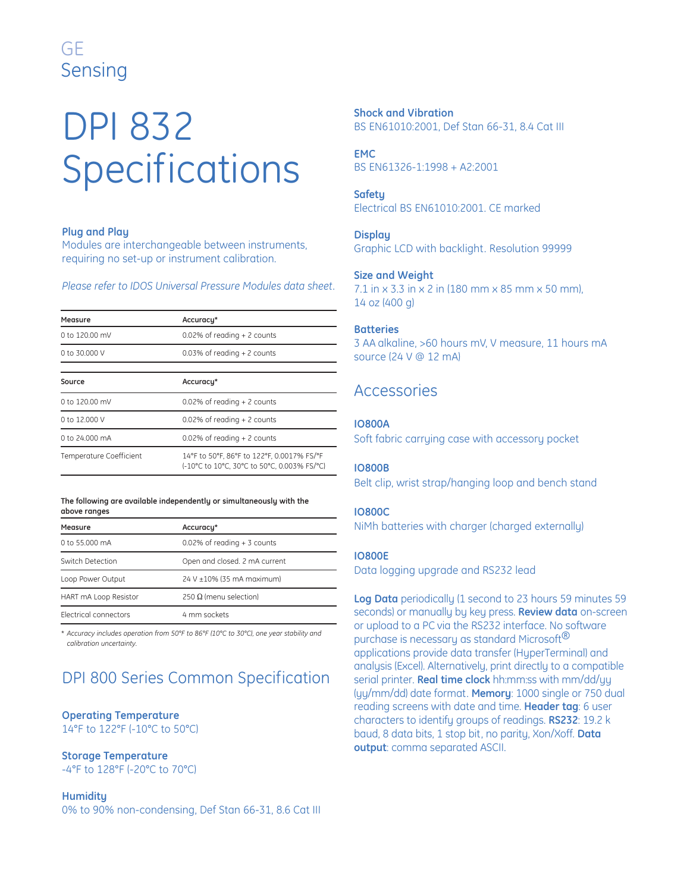## GE Sensing

# DPI 832 Specifications

#### **Plug and Play**

Modules are interchangeable between instruments, requiring no set-up or instrument calibration.

*Please refer to IDOS Universal Pressure Modules data sheet.* 

| Measure                        | Accuracy*                                                                                 |
|--------------------------------|-------------------------------------------------------------------------------------------|
| 0 to 120.00 mV                 | $0.02\%$ of reading + 2 counts                                                            |
| 0 to 30,000 V                  | $0.03\%$ of reading $+2$ counts                                                           |
| Source                         | Accuracy*                                                                                 |
| 0 to 120.00 mV                 | $0.02\%$ of reading + 2 counts                                                            |
| 0 to 12,000 V                  | $0.02\%$ of reading + 2 counts                                                            |
| 0 to 24,000 mA                 | $0.02\%$ of reading + 2 counts                                                            |
| <b>Temperature Coefficient</b> | 14°F to 50°F, 86°F to 122°F, 0.0017% FS/°F<br>(-10°C to 10°C, 30°C to 50°C, 0.003% FS/°C) |

#### **The following are available independently or simultaneously with the above ranges**

| Measure                      | Accuracy*                       |
|------------------------------|---------------------------------|
| 0 to 55,000 mA               | $0.02\%$ of reading $+3$ counts |
| Switch Detection             | Open and closed. 2 mA current   |
| Loop Power Output            | 24 V ±10% (35 mA maximum)       |
| HART mA Loop Resistor        | 250 Ω (menu selection)          |
| <b>Electrical connectors</b> | 4 mm sockets                    |

*\* Accuracy includes operation from 50°F to 86°F (10°C to 30°C), one year stability and calibration uncertainty.*

## DPI 800 Series Common Specification

#### **Operating Temperature** 14°F to 122°F (-10°C to 50°C)

#### **Storage Temperature**

-4°F to 128°F (-20°C to 70°C)

#### **Humidity**

0% to 90% non-condensing, Def Stan 66-31, 8.6 Cat III

**Shock and Vibration** BS EN61010:2001, Def Stan 66-31, 8.4 Cat III

**EMC** BS EN61326-1:1998 + A2:2001

### **Safety**

Electrical BS EN61010:2001. CE marked

#### **Display**

Graphic LCD with backlight. Resolution 99999

#### **Size and Weight**

7.1 in x 3.3 in x 2 in (180 mm x 85 mm x 50 mm), 14 oz (400 g)

#### **Batteries**

3 AA alkaline, >60 hours mV, V measure, 11 hours mA source (24 V @ 12 mA)

### Accessories

#### **IO800A**

Soft fabric carrying case with accessory pocket

#### **IO800B**

Belt clip, wrist strap/hanging loop and bench stand

#### **IO800C**

NiMh batteries with charger (charged externally)

#### **IO800E**

Data logging upgrade and RS232 lead

**Log Data** periodically (1 second to 23 hours 59 minutes 59 seconds) or manually by key press. **Review data** on-screen or upload to a PC via the RS232 interface. No software purchase is necessary as standard Microsoft<sup>®</sup> applications provide data transfer (HyperTerminal) and analysis (Excel). Alternatively, print directly to a compatible serial printer. **Real time clock** hh:mm:ss with mm/dd/yy (yy/mm/dd) date format. **Memory**: 1000 single or 750 dual reading screens with date and time. **Header tag**: 6 user characters to identify groups of readings. **RS232**: 19.2 k baud, 8 data bits, 1 stop bit, no parity, Xon/Xoff. **Data output**: comma separated ASCII.